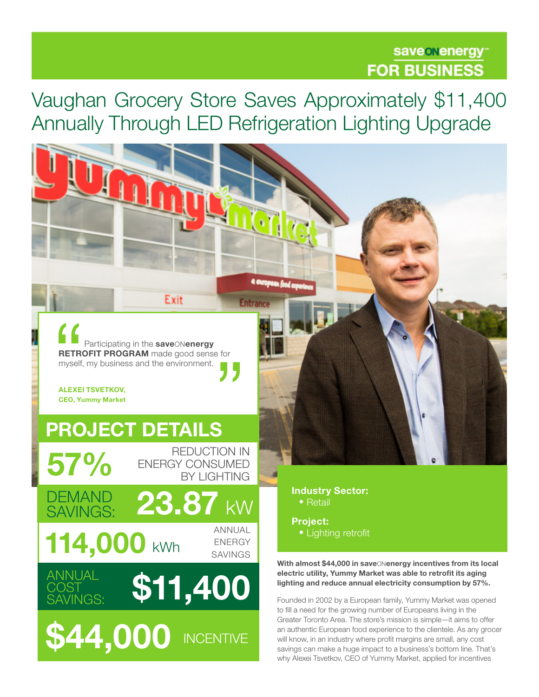## save onenergy **FOR BUSINESS**

Vaughan Grocery Store Saves Approximately \$11,400 Annually Through LED Refrigeration Lighting Upgrade

**Entrar** 

Participating in the saveONenergy RETROFIT PROGRAM made good sense for myself, my business and the environment.

Exit

ALEXEI TSVETKOV, CEO, Yummy Market

# PROJECT DETAILS

ANNUAL \$11,400

**\$44,000 INCENTIVE** 

REDUCTION IN  $57\%$  ENERGY CONSUMED

 $114,000$  kWhenergy kWh DEMAND<br>SAVINGS: 23.87 kW

**COST** SAVINGS: ANNUAL

Industry Sector: • Retail

Project: • Lighting retrofit

With almost \$44,000 in save Nenergy incentives from its local electric utility, Yummy Market was able to retrofit its aging lighting and reduce annual electricity consumption by 57%.

Founded in 2002 by a European family, Yummy Market was opened to fill a need for the growing number of Europeans living in the Greater Toronto Area. The store's mission is simple—it aims to offer an authentic European food experience to the clientele. As any grocer will know, in an industry where profit margins are small, any cost savings can make a huge impact to a business's bottom line. That's why Alexei Tsvetkov, CEO of Yummy Market, applied for incentives